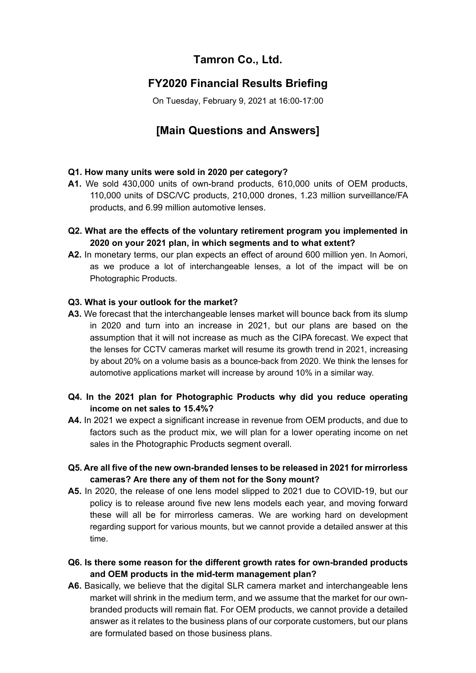# **Tamron Co., Ltd.**

### **FY2020 Financial Results Briefing**

On Tuesday, February 9, 2021 at 16:00-17:00

# **[Main Questions and Answers]**

### **Q1. How many units were sold in 2020 per category?**

- **A1.** We sold 430,000 units of own-brand products, 610,000 units of OEM products, 110,000 units of DSC/VC products, 210,000 drones, 1.23 million surveillance/FA products, and 6.99 million automotive lenses.
- **Q2. What are the effects of the voluntary retirement program you implemented in 2020 on your 2021 plan, in which segments and to what extent?**
- **A2.** In monetary terms, our plan expects an effect of around 600 million yen. In Aomori, as we produce a lot of interchangeable lenses, a lot of the impact will be on Photographic Products.

#### **Q3. What is your outlook for the market?**

**A3.** We forecast that the interchangeable lenses market will bounce back from its slump in 2020 and turn into an increase in 2021, but our plans are based on the assumption that it will not increase as much as the CIPA forecast. We expect that the lenses for CCTV cameras market will resume its growth trend in 2021, increasing by about 20% on a volume basis as a bounce-back from 2020. We think the lenses for automotive applications market will increase by around 10% in a similar way.

### **Q4. In the 2021 plan for Photographic Products why did you reduce operating income on net sales to 15.4%?**

**A4.** In 2021 we expect a significant increase in revenue from OEM products, and due to factors such as the product mix, we will plan for a lower operating income on net sales in the Photographic Products segment overall.

### **Q5. Are all five of the new own-branded lenses to be released in 2021 for mirrorless cameras? Are there any of them not for the Sony mount?**

- **A5.** In 2020, the release of one lens model slipped to 2021 due to COVID-19, but our policy is to release around five new lens models each year, and moving forward these will all be for mirrorless cameras. We are working hard on development regarding support for various mounts, but we cannot provide a detailed answer at this time.
- **Q6. Is there some reason for the different growth rates for own-branded products and OEM products in the mid-term management plan?**
- A6. Basically, we believe that the digital SLR camera market and interchangeable lens market will shrink in the medium term, and we assume that the market for our ownbranded products will remain flat. For OEM products, we cannot provide a detailed answer as it relates to the business plans of our corporate customers, but our plans are formulated based on those business plans.